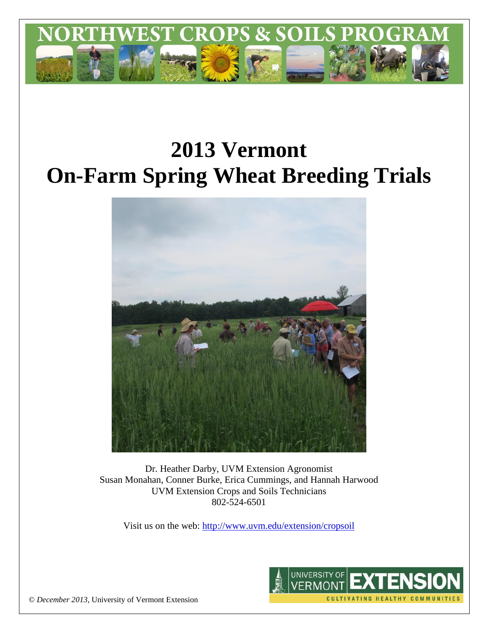

# **2013 Vermont On-Farm Spring Wheat Breeding Trials**



Dr. Heather Darby, UVM Extension Agronomist Susan Monahan, Conner Burke, Erica Cummings, and Hannah Harwood UVM Extension Crops and Soils Technicians 802-524-6501

Visit us on the web: <http://www.uvm.edu/extension/cropsoil>



© *December 2013*, University of Vermont Extension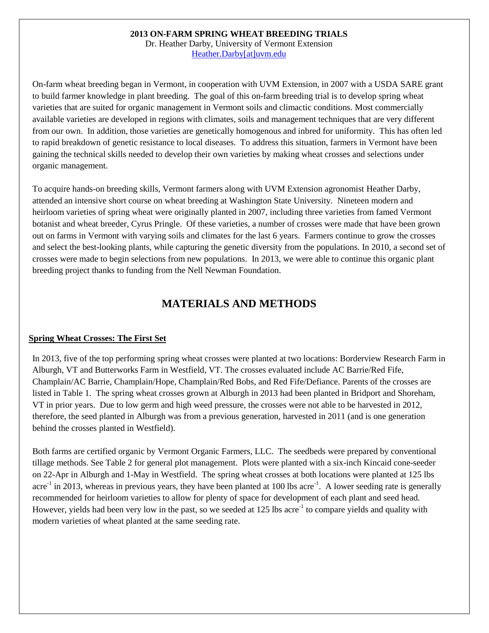## **2013 ON-FARM SPRING WHEAT BREEDING TRIALS**

Dr. Heather Darby, University of Vermont Extension [Heather.Darby\[at\]uvm.edu](mailto:Heather.Darby@uvm.edu)

On-farm wheat breeding began in Vermont, in cooperation with UVM Extension, in 2007 with a USDA SARE grant to build farmer knowledge in plant breeding. The goal of this on-farm breeding trial is to develop spring wheat varieties that are suited for organic management in Vermont soils and climactic conditions. Most commercially available varieties are developed in regions with climates, soils and management techniques that are very different from our own. In addition, those varieties are genetically homogenous and inbred for uniformity. This has often led to rapid breakdown of genetic resistance to local diseases. To address this situation, farmers in Vermont have been gaining the technical skills needed to develop their own varieties by making wheat crosses and selections under organic management.

To acquire hands-on breeding skills, Vermont farmers along with UVM Extension agronomist Heather Darby, attended an intensive short course on wheat breeding at Washington State University. Nineteen modern and heirloom varieties of spring wheat were originally planted in 2007, including three varieties from famed Vermont botanist and wheat breeder, Cyrus Pringle. Of these varieties, a number of crosses were made that have been grown out on farms in Vermont with varying soils and climates for the last 6 years. Farmers continue to grow the crosses and select the best-looking plants, while capturing the genetic diversity from the populations. In 2010, a second set of crosses were made to begin selections from new populations. In 2013, we were able to continue this organic plant breeding project thanks to funding from the Nell Newman Foundation.

# **MATERIALS AND METHODS**

#### **Spring Wheat Crosses: The First Set**

In 2013, five of the top performing spring wheat crosses were planted at two locations: Borderview Research Farm in Alburgh, VT and Butterworks Farm in Westfield, VT. The crosses evaluated include AC Barrie/Red Fife, Champlain/AC Barrie, Champlain/Hope, Champlain/Red Bobs, and Red Fife/Defiance. Parents of the crosses are listed in Table 1. The spring wheat crosses grown at Alburgh in 2013 had been planted in Bridport and Shoreham, VT in prior years. Due to low germ and high weed pressure, the crosses were not able to be harvested in 2012, therefore, the seed planted in Alburgh was from a previous generation, harvested in 2011 (and is one generation behind the crosses planted in Westfield).

Both farms are certified organic by Vermont Organic Farmers, LLC. The seedbeds were prepared by conventional tillage methods. See Table 2 for general plot management. Plots were planted with a six-inch Kincaid cone-seeder on 22-Apr in Alburgh and 1-May in Westfield. The spring wheat crosses at both locations were planted at 125 lbs acre<sup>-1</sup> in 2013, whereas in previous years, they have been planted at 100 lbs acre<sup>-1</sup>. A lower seeding rate is generally recommended for heirloom varieties to allow for plenty of space for development of each plant and seed head. However, yields had been very low in the past, so we seeded at 125 lbs acre<sup>-1</sup> to compare yields and quality with modern varieties of wheat planted at the same seeding rate.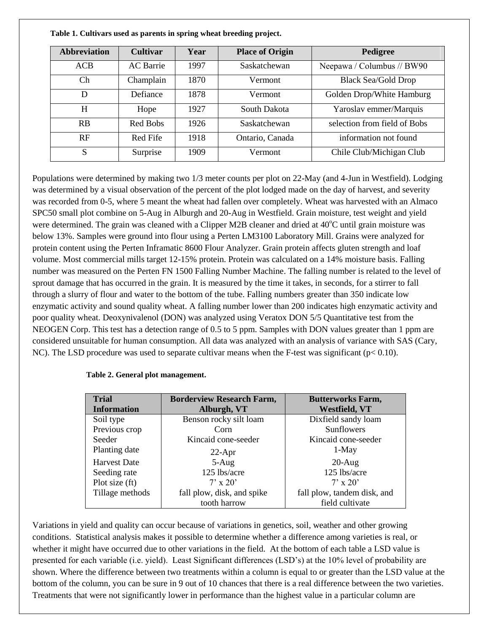|  | Table 1. Cultivars used as parents in spring wheat breeding project. |  |  |  |  |
|--|----------------------------------------------------------------------|--|--|--|--|
|  |                                                                      |  |  |  |  |

| <b>Abbreviation</b> | <b>Cultivar</b>  | Year | <b>Place of Origin</b> | Pedigree                     |
|---------------------|------------------|------|------------------------|------------------------------|
| ACB                 | <b>AC</b> Barrie | 1997 | Saskatchewan           | Neepawa / Columbus // BW90   |
| Ch                  | Champlain        | 1870 | Vermont                | <b>Black Sea/Gold Drop</b>   |
| D                   | Defiance         | 1878 | Vermont                | Golden Drop/White Hamburg    |
| H                   | Hope             | 1927 | South Dakota           | Yaroslav emmer/Marquis       |
| RB                  | Red Bobs         | 1926 | Saskatchewan           | selection from field of Bobs |
| RF                  | Red Fife         | 1918 | Ontario, Canada        | information not found        |
| S                   | Surprise         | 1909 | Vermont                | Chile Club/Michigan Club     |

Populations were determined by making two 1/3 meter counts per plot on 22-May (and 4-Jun in Westfield). Lodging was determined by a visual observation of the percent of the plot lodged made on the day of harvest, and severity was recorded from 0-5, where 5 meant the wheat had fallen over completely. Wheat was harvested with an Almaco SPC50 small plot combine on 5-Aug in Alburgh and 20-Aug in Westfield. Grain moisture, test weight and yield were determined. The grain was cleaned with a Clipper M2B cleaner and dried at 40<sup>o</sup>C until grain moisture was below 13%. Samples were ground into flour using a Perten LM3100 Laboratory Mill. Grains were analyzed for protein content using the Perten Inframatic 8600 Flour Analyzer. Grain protein affects gluten strength and loaf volume. Most commercial mills target 12-15% protein. Protein was calculated on a 14% moisture basis. Falling number was measured on the Perten FN 1500 Falling Number Machine. The falling number is related to the level of sprout damage that has occurred in the grain. It is measured by the time it takes, in seconds, for a stirrer to fall through a slurry of flour and water to the bottom of the tube. Falling numbers greater than 350 indicate low enzymatic activity and sound quality wheat. A falling number lower than 200 indicates high enzymatic activity and poor quality wheat. Deoxynivalenol (DON) was analyzed using Veratox DON 5/5 Quantitative test from the NEOGEN Corp. This test has a detection range of 0.5 to 5 ppm. Samples with DON values greater than 1 ppm are considered unsuitable for human consumption. All data was analyzed with an analysis of variance with SAS (Cary, NC). The LSD procedure was used to separate cultivar means when the F-test was significant ( $p < 0.10$ ).

| <b>Trial</b><br><b>Information</b> | <b>Borderview Research Farm,</b><br>Alburgh, VT | <b>Butterworks Farm,</b><br><b>Westfield, VT</b> |
|------------------------------------|-------------------------------------------------|--------------------------------------------------|
| Soil type                          | Benson rocky silt loam                          | Dixfield sandy loam                              |
| Previous crop                      | Corn                                            | <b>Sunflowers</b>                                |
| Seeder                             | Kincaid cone-seeder                             | Kincaid cone-seeder                              |
| Planting date                      | $22-Apr$                                        | $1-May$                                          |
| <b>Harvest Date</b>                | $5-Aug$                                         | $20$ -Aug                                        |
| Seeding rate                       | 125 lbs/acre                                    | 125 lbs/acre                                     |
| Plot size (ft)                     | $7' \times 20'$                                 | $7' \times 20'$                                  |
| Tillage methods                    | fall plow, disk, and spike                      | fall plow, tandem disk, and                      |
|                                    | tooth harrow                                    | field cultivate                                  |

#### **Table 2. General plot management.**

Variations in yield and quality can occur because of variations in genetics, soil, weather and other growing conditions. Statistical analysis makes it possible to determine whether a difference among varieties is real, or whether it might have occurred due to other variations in the field. At the bottom of each table a LSD value is presented for each variable (i.e. yield). Least Significant differences (LSD's) at the 10% level of probability are shown. Where the difference between two treatments within a column is equal to or greater than the LSD value at the bottom of the column, you can be sure in 9 out of 10 chances that there is a real difference between the two varieties. Treatments that were not significantly lower in performance than the highest value in a particular column are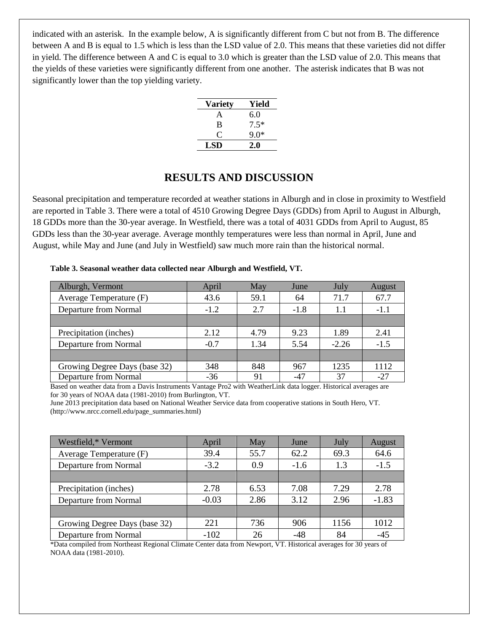indicated with an asterisk. In the example below, A is significantly different from C but not from B. The difference between A and B is equal to 1.5 which is less than the LSD value of 2.0. This means that these varieties did not differ in yield. The difference between A and C is equal to 3.0 which is greater than the LSD value of 2.0. This means that the yields of these varieties were significantly different from one another. The asterisk indicates that B was not significantly lower than the top yielding variety.

| <b>Variety</b> | Yield  |
|----------------|--------|
| A              | 6.0    |
| B              | $7.5*$ |
| C              | 9.0*   |
| LSD            | 2.0    |

# **RESULTS AND DISCUSSION**

Seasonal precipitation and temperature recorded at weather stations in Alburgh and in close in proximity to Westfield are reported in Table 3. There were a total of 4510 Growing Degree Days (GDDs) from April to August in Alburgh, 18 GDDs more than the 30-year average. In Westfield, there was a total of 4031 GDDs from April to August, 85 GDDs less than the 30-year average. Average monthly temperatures were less than normal in April, June and August, while May and June (and July in Westfield) saw much more rain than the historical normal.

#### **Table 3. Seasonal weather data collected near Alburgh and Westfield, VT.**

| Alburgh, Vermont              | April  | May  | June   | July    | August |
|-------------------------------|--------|------|--------|---------|--------|
| Average Temperature (F)       | 43.6   | 59.1 | 64     | 71.7    | 67.7   |
| Departure from Normal         | $-1.2$ | 2.7  | $-1.8$ | 1.1     | $-1.1$ |
|                               |        |      |        |         |        |
| Precipitation (inches)        | 2.12   | 4.79 | 9.23   | 1.89    | 2.41   |
| Departure from Normal         | $-0.7$ | 1.34 | 5.54   | $-2.26$ | $-1.5$ |
|                               |        |      |        |         |        |
| Growing Degree Days (base 32) | 348    | 848  | 967    | 1235    | 1112   |
| Departure from Normal         | $-36$  | 91   | $-47$  | 37      | $-27$  |

Based on weather data from a Davis Instruments Vantage Pro2 with WeatherLink data logger. Historical averages are for 30 years of NOAA data (1981-2010) from Burlington, VT.

June 2013 precipitation data based on National Weather Service data from cooperative stations in South Hero, VT. (http://www.nrcc.cornell.edu/page\_summaries.html)

| Westfield,* Vermont           | April   | May  | June   | July | August  |
|-------------------------------|---------|------|--------|------|---------|
| Average Temperature (F)       | 39.4    | 55.7 | 62.2   | 69.3 | 64.6    |
| Departure from Normal         | $-3.2$  | 0.9  | $-1.6$ | 1.3  | $-1.5$  |
|                               |         |      |        |      |         |
| Precipitation (inches)        | 2.78    | 6.53 | 7.08   | 7.29 | 2.78    |
| Departure from Normal         | $-0.03$ | 2.86 | 3.12   | 2.96 | $-1.83$ |
|                               |         |      |        |      |         |
| Growing Degree Days (base 32) | 221     | 736  | 906    | 1156 | 1012    |
| Departure from Normal         | $-102$  | 26   | $-48$  | 84   | $-45$   |

\*Data compiled from Northeast Regional Climate Center data from Newport, VT. Historical averages for 30 years of NOAA data (1981-2010).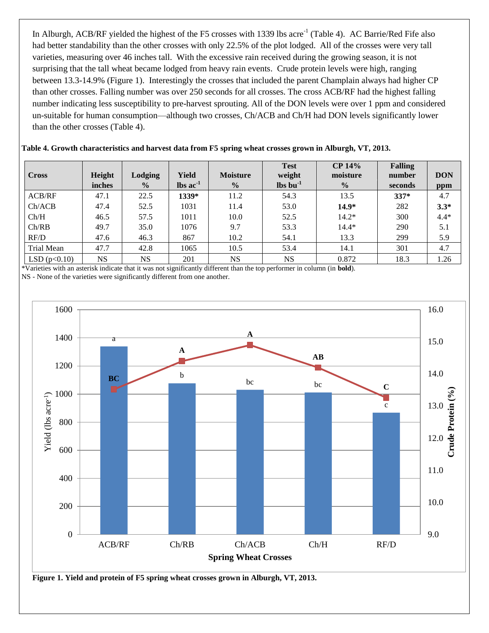In Alburgh, ACB/RF yielded the highest of the F5 crosses with 1339 lbs acre<sup>-1</sup> (Table 4). AC Barrie/Red Fife also had better standability than the other crosses with only 22.5% of the plot lodged. All of the crosses were very tall varieties, measuring over 46 inches tall. With the excessive rain received during the growing season, it is not surprising that the tall wheat became lodged from heavy rain events. Crude protein levels were high, ranging between 13.3-14.9% (Figure 1). Interestingly the crosses that included the parent Champlain always had higher CP than other crosses. Falling number was over 250 seconds for all crosses. The cross ACB/RF had the highest falling number indicating less susceptibility to pre-harvest sprouting. All of the DON levels were over 1 ppm and considered un-suitable for human consumption—although two crosses, Ch/ACB and Ch/H had DON levels significantly lower than the other crosses (Table 4).

| <b>Cross</b> | Height    | Lodging       | Yield                                         | <b>Moisture</b> | <b>Test</b><br>weight | <b>CP 14%</b><br>moisture | <b>Falling</b><br>number | <b>DON</b> |
|--------------|-----------|---------------|-----------------------------------------------|-----------------|-----------------------|---------------------------|--------------------------|------------|
|              | inches    | $\frac{0}{0}$ | $\mathbf{a}$ lbs $\mathbf{a}$ c <sup>-1</sup> | $\frac{0}{0}$   | $\ln 1$               | $\frac{0}{0}$             | seconds                  | ppm        |
| ACB/RF       | 47.1      | 22.5          | 1339*                                         | 11.2            | 54.3                  | 13.5                      | $337*$                   | 4.7        |
| Ch/ACB       | 47.4      | 52.5          | 1031                                          | 11.4            | 53.0                  | $14.9*$                   | 282                      | $3.3*$     |
| Ch/H         | 46.5      | 57.5          | 1011                                          | 10.0            | 52.5                  | $14.2*$                   | 300                      | $4.4*$     |
| Ch/RB        | 49.7      | 35.0          | 1076                                          | 9.7             | 53.3                  | $14.4*$                   | 290                      | 5.1        |
| RF/D         | 47.6      | 46.3          | 867                                           | 10.2            | 54.1                  | 13.3                      | 299                      | 5.9        |
| Trial Mean   | 47.7      | 42.8          | 1065                                          | 10.5            | 53.4                  | 14.1                      | 301                      | 4.7        |
| LSD(p<0.10)  | <b>NS</b> | <b>NS</b>     | 201                                           | <b>NS</b>       | NS                    | 0.872                     | 18.3                     | 1.26       |

#### **Table 4. Growth characteristics and harvest data from F5 spring wheat crosses grown in Alburgh, VT, 2013.**

\*Varieties with an asterisk indicate that it was not significantly different than the top performer in column (in **bold**).

NS - None of the varieties were significantly different from one another.



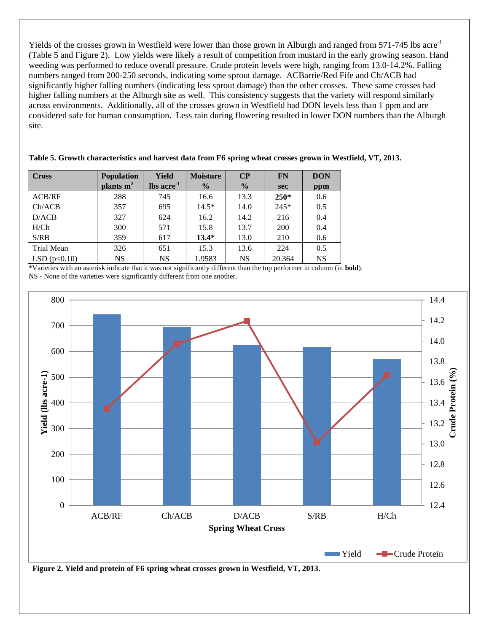Yields of the crosses grown in Westfield were lower than those grown in Alburgh and ranged from 571-745 lbs acre<sup>-1</sup> (Table 5 and Figure 2). Low yields were likely a result of competition from mustard in the early growing season. Hand weeding was performed to reduce overall pressure. Crude protein levels were high, ranging from 13.0-14.2%. Falling numbers ranged from 200-250 seconds, indicating some sprout damage. ACBarrie/Red Fife and Ch/ACB had significantly higher falling numbers (indicating less sprout damage) than the other crosses. These same crosses had higher falling numbers at the Alburgh site as well. This consistency suggests that the variety will respond similarly across environments. Additionally, all of the crosses grown in Westfield had DON levels less than 1 ppm and are considered safe for human consumption. Less rain during flowering resulted in lower DON numbers than the Alburgh site.

| <b>Cross</b>   | <b>Population</b> |                                    | <b>Yield</b><br><b>Moisture</b> |               | <b>FN</b>  | <b>DON</b> |
|----------------|-------------------|------------------------------------|---------------------------------|---------------|------------|------------|
|                | plants $m^2$      | $\rm{lbs}\, \rm{acre}^{\text{-1}}$ | $\frac{0}{0}$                   | $\frac{0}{0}$ | <b>sec</b> | ppm        |
| ACB/RF         | 288               | 745                                | 16.6                            | 13.3          | $250*$     | 0.6        |
| Ch/ACB         | 357               | 695                                | $14.5*$                         | 14.0          | $245*$     | 0.5        |
| D/ACB          | 327               | 624                                | 16.2                            | 14.2          | 216        | 0.4        |
| H/Ch           | 300               | 571                                | 15.8                            | 13.7          | 200        | 0.4        |
| S/RB           | 359               | 617                                | $13.4*$                         | 13.0          | 210        | 0.6        |
| Trial Mean     | 326               | 651                                | 15.3                            | 13.6          | 224        | 0.5        |
| LSD $(p<0.10)$ | NS                | <b>NS</b>                          | 1.9583                          | <b>NS</b>     | 20.364     | NS         |

**Table 5. Growth characteristics and harvest data from F6 spring wheat crosses grown in Westfield, VT, 2013.**

\*Varieties with an asterisk indicate that it was not significantly different than the top performer in column (in **bold**). NS - None of the varieties were significantly different from one another.

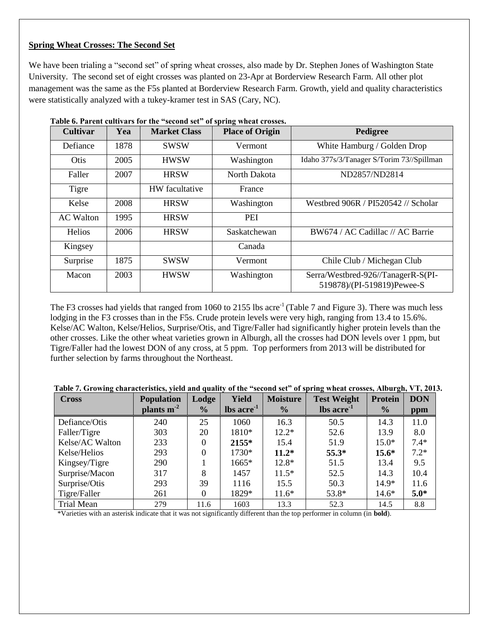## **Spring Wheat Crosses: The Second Set**

We have been trialing a "second set" of spring wheat crosses, also made by Dr. Stephen Jones of Washington State University. The second set of eight crosses was planted on 23-Apr at Borderview Research Farm. All other plot management was the same as the F5s planted at Borderview Research Farm. Growth, yield and quality characteristics were statistically analyzed with a tukey-kramer test in SAS (Cary, NC).

| <b>Cultivar</b>  | Yea  | <b>Market Class</b> | <b>Place of Origin</b> | Pedigree                                                         |
|------------------|------|---------------------|------------------------|------------------------------------------------------------------|
| Defiance         | 1878 | <b>SWSW</b>         | Vermont                | White Hamburg / Golden Drop                                      |
| Otis             | 2005 | <b>HWSW</b>         | Washington             | Idaho 377s/3/Tanager S/Torim 73//Spillman                        |
| Faller           | 2007 | <b>HRSW</b>         | North Dakota           | ND2857/ND2814                                                    |
| Tigre            |      | HW facultative      | France                 |                                                                  |
| Kelse            | 2008 | <b>HRSW</b>         | Washington             | Westbred 906R / PI520542 // Scholar                              |
| <b>AC</b> Walton | 1995 | <b>HRSW</b>         | <b>PEI</b>             |                                                                  |
| <b>Helios</b>    | 2006 | <b>HRSW</b>         | Saskatchewan           | BW674 / AC Cadillac // AC Barrie                                 |
| Kingsey          |      |                     | Canada                 |                                                                  |
| Surprise         | 1875 | <b>SWSW</b>         | Vermont                | Chile Club / Michegan Club                                       |
| Macon            | 2003 | <b>HWSW</b>         | Washington             | Serra/Westbred-926//TanagerR-S(PI-<br>519878)/(PI-519819)Pewee-S |

**Table 6. Parent cultivars for the "second set" of spring wheat crosses.** 

The F3 crosses had yields that ranged from 1060 to 2155 lbs acre<sup>-1</sup> (Table 7 and Figure 3). There was much less lodging in the F3 crosses than in the F5s. Crude protein levels were very high, ranging from 13.4 to 15.6%. Kelse/AC Walton, Kelse/Helios, Surprise/Otis, and Tigre/Faller had significantly higher protein levels than the other crosses. Like the other wheat varieties grown in Alburgh, all the crosses had DON levels over 1 ppm, but Tigre/Faller had the lowest DON of any cross, at 5 ppm. Top performers from 2013 will be distributed for further selection by farms throughout the Northeast.

| <b>Cross</b>    | <b>Population</b> | Lodge         | Yield                  | <b>Moisture</b> | <b>Test Weight</b>     | <b>Protein</b> | <b>DON</b> |
|-----------------|-------------------|---------------|------------------------|-----------------|------------------------|----------------|------------|
|                 | plants $m-2$      | $\frac{0}{0}$ | $\text{lbs acre}^{-1}$ | $\frac{0}{0}$   | lbs acre <sup>-1</sup> | $\frac{0}{0}$  | ppm        |
| Defiance/Otis   | 240               | 25            | 1060                   | 16.3            | 50.5                   | 14.3           | 11.0       |
| Faller/Tigre    | 303               | 20            | 1810*                  | $12.2*$         | 52.6                   | 13.9           | 8.0        |
| Kelse/AC Walton | 233               |               | 2155*                  | 15.4            | 51.9                   | $15.0*$        | $7.4*$     |
| Kelse/Helios    | 293               | 0             | $1730*$                | $11.2*$         | 55.3*                  | $15.6*$        | $7.2*$     |
| Kingsey/Tigre   | 290               |               | 1665*                  | $12.8*$         | 51.5                   | 13.4           | 9.5        |
| Surprise/Macon  | 317               | 8             | 1457                   | $11.5*$         | 52.5                   | 14.3           | 10.4       |
| Surprise/Otis   | 293               | 39            | 1116                   | 15.5            | 50.3                   | $14.9*$        | 11.6       |
| Tigre/Faller    | 261               | 0             | 1829*                  | $11.6*$         | 53.8*                  | $14.6*$        | $5.0*$     |
| Trial Mean      | 279               | 11.6          | 1603                   | 13.3            | 52.3                   | 14.5           | 8.8        |

**Table 7. Growing characteristics, yield and quality of the "second set" of spring wheat crosses, Alburgh, VT, 2013.** 

\*Varieties with an asterisk indicate that it was not significantly different than the top performer in column (in **bold**).